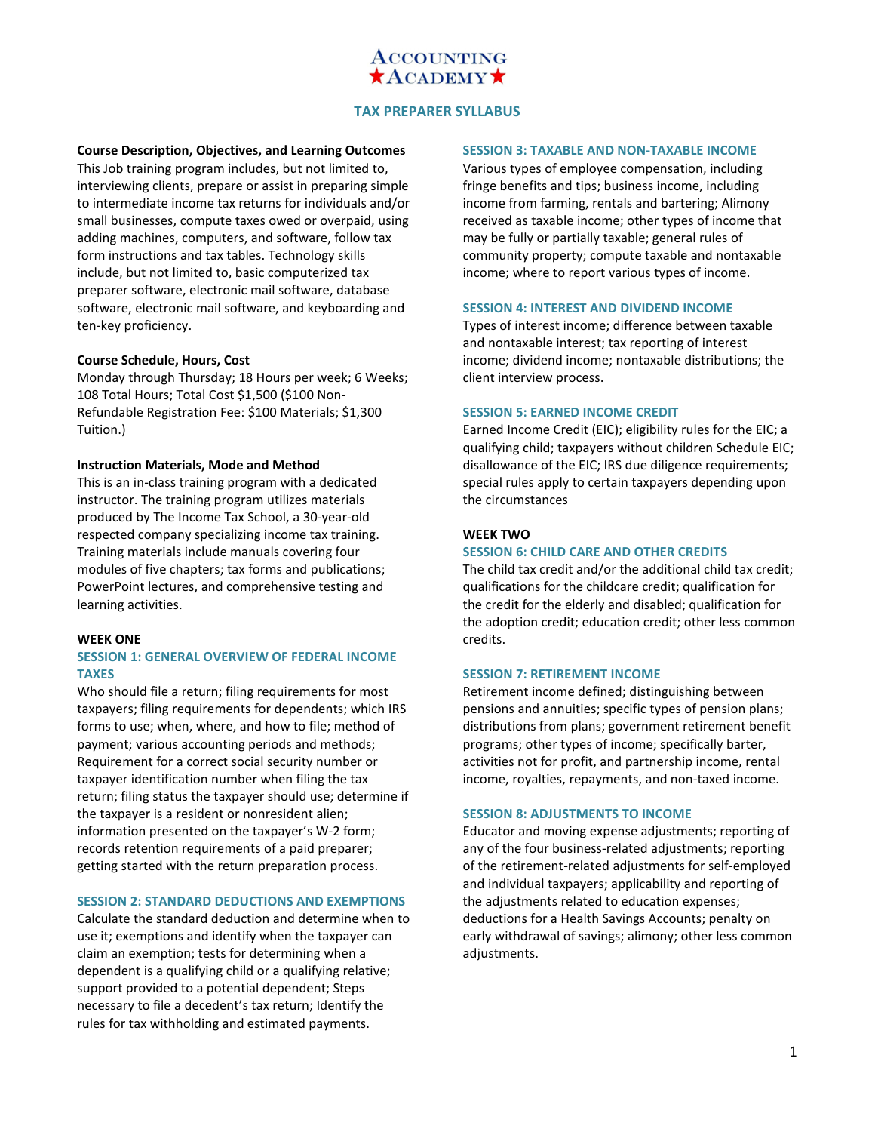

## **TAX PREPARER SYLLABUS**

### **Course Description, Objectives, and Learning Outcomes**

This Job training program includes, but not limited to, interviewing clients, prepare or assist in preparing simple to intermediate income tax returns for individuals and/or small businesses, compute taxes owed or overpaid, using adding machines, computers, and software, follow tax form instructions and tax tables. Technology skills include, but not limited to, basic computerized tax preparer software, electronic mail software, database software, electronic mail software, and keyboarding and ten-key proficiency.

### **Course Schedule, Hours, Cost**

Monday through Thursday; 18 Hours per week; 6 Weeks; 108 Total Hours; Total Cost \$1,500 (\$100 Non-Refundable Registration Fee: \$100 Materials; \$1,300 Tuition.)

#### **Instruction Materials, Mode and Method**

This is an in-class training program with a dedicated instructor. The training program utilizes materials produced by The Income Tax School, a 30-year-old respected company specializing income tax training. Training materials include manuals covering four modules of five chapters; tax forms and publications; PowerPoint lectures, and comprehensive testing and learning activities.

#### **WEEK ONE**

## **SESSION 1: GENERAL OVERVIEW OF FEDERAL INCOME TAXES**

Who should file a return; filing requirements for most taxpayers; filing requirements for dependents; which IRS forms to use; when, where, and how to file; method of payment; various accounting periods and methods; Requirement for a correct social security number or taxpayer identification number when filing the tax return; filing status the taxpayer should use; determine if the taxpayer is a resident or nonresident alien; information presented on the taxpayer's W-2 form; records retention requirements of a paid preparer; getting started with the return preparation process.

#### **SESSION 2: STANDARD DEDUCTIONS AND EXEMPTIONS**

Calculate the standard deduction and determine when to use it; exemptions and identify when the taxpayer can claim an exemption; tests for determining when a dependent is a qualifying child or a qualifying relative; support provided to a potential dependent; Steps necessary to file a decedent's tax return; Identify the rules for tax withholding and estimated payments.

#### **SESSION 3: TAXABLE AND NON-TAXABLE INCOME**

Various types of employee compensation, including fringe benefits and tips; business income, including income from farming, rentals and bartering; Alimony received as taxable income; other types of income that may be fully or partially taxable; general rules of community property; compute taxable and nontaxable income; where to report various types of income.

### **SESSION 4: INTEREST AND DIVIDEND INCOME**

Types of interest income; difference between taxable and nontaxable interest; tax reporting of interest income; dividend income; nontaxable distributions; the client interview process.

#### **SESSION 5: EARNED INCOME CREDIT**

Earned Income Credit (EIC); eligibility rules for the EIC; a qualifying child; taxpayers without children Schedule EIC; disallowance of the EIC; IRS due diligence requirements; special rules apply to certain taxpayers depending upon the circumstances

## **WEEK TWO**

#### **SESSION 6: CHILD CARE AND OTHER CREDITS**

The child tax credit and/or the additional child tax credit; qualifications for the childcare credit; qualification for the credit for the elderly and disabled; qualification for the adoption credit; education credit; other less common credits.

#### **SESSION 7: RETIREMENT INCOME**

Retirement income defined; distinguishing between pensions and annuities; specific types of pension plans; distributions from plans; government retirement benefit programs; other types of income; specifically barter, activities not for profit, and partnership income, rental income, royalties, repayments, and non-taxed income.

#### **SESSION 8: ADJUSTMENTS TO INCOME**

Educator and moving expense adjustments; reporting of any of the four business-related adjustments; reporting of the retirement-related adjustments for self-employed and individual taxpayers; applicability and reporting of the adjustments related to education expenses; deductions for a Health Savings Accounts; penalty on early withdrawal of savings; alimony; other less common adjustments.